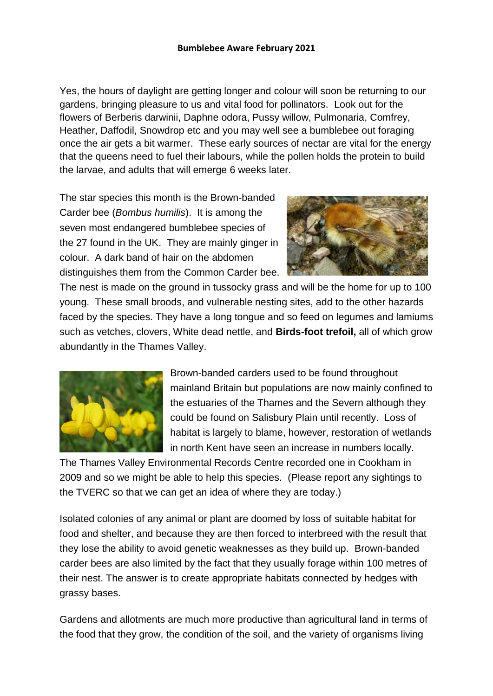Yes, the hours of daylight are getting longer and colour will soon be returning to our gardens, bringing pleasure to us and vital food for pollinators. Look out for the flowers of Berberis darwinii, Daphne odora, Pussy willow, Pulmonaria, Comfrey, Heather, Daffodil, Snowdrop etc and you may well see a bumblebee out foraging once the air gets a bit warmer. These early sources of nectar are vital for the energy that the queens need to fuel their labours, while the pollen holds the protein to build the larvae, and adults that will emerge 6 weeks later.

The star species this month is the Brown-banded Carder bee (*Bombus humilis*). It is among the seven most endangered bumblebee species of the 27 found in the UK. They are mainly ginger in colour. A dark band of hair on the abdomen distinguishes them from the Common Carder bee.



The nest is made on the ground in tussocky grass and will be the home for up to 100 young. These small broods, and vulnerable nesting sites, add to the other hazards faced by the species. They have a long tongue and so feed on legumes and lamiums such as vetches, clovers, White dead nettle, and **Birds-foot trefoil,** all of which grow abundantly in the Thames Valley.



Brown-banded carders used to be found throughout mainland Britain but populations are now mainly confined to the estuaries of the Thames and the Severn although they could be found on Salisbury Plain until recently. Loss of habitat is largely to blame, however, restoration of wetlands in north Kent have seen an increase in numbers locally.

The Thames Valley Environmental Records Centre recorded one in Cookham in 2009 and so we might be able to help this species. (Please report any sightings to the TVERC so that we can get an idea of where they are today.)

Isolated colonies of any animal or plant are doomed by loss of suitable habitat for food and shelter, and because they are then forced to interbreed with the result that they lose the ability to avoid genetic weaknesses as they build up. Brown-banded carder bees are also limited by the fact that they usually forage within 100 metres of their nest. The answer is to create appropriate habitats connected by hedges with grassy bases.

Gardens and allotments are much more productive than agricultural land in terms of the food that they grow, the condition of the soil, and the variety of organisms living